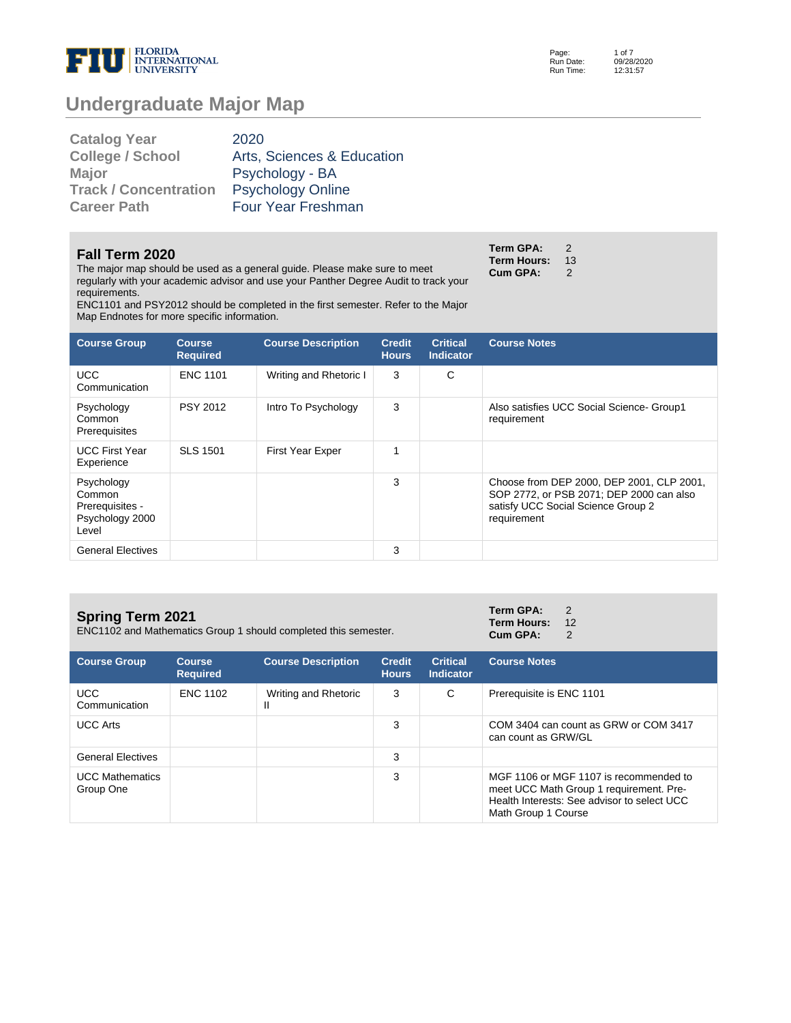

Page: Run Date: Run Time: 1 of 7 12:31:57

# **Undergraduate Major Map**

| <b>Catalog Year</b>          | 2020                       |
|------------------------------|----------------------------|
| <b>College / School</b>      | Arts, Sciences & Education |
| <b>Major</b>                 | Psychology - BA            |
| <b>Track / Concentration</b> | <b>Psychology Online</b>   |
| <b>Career Path</b>           | Four Year Freshman         |

#### **Fall Term 2020**

The major map should be used as a general guide. Please make sure to meet regularly with your academic advisor and use your Panther Degree Audit to track your requirements.

**Term GPA:** 2 **Term Hours: 13<br>Cum GPA: 2 Cum GPA:** 

ENC1101 and PSY2012 should be completed in the first semester. Refer to the Major Map Endnotes for more specific information.

| <b>Course Group</b>                                                 | <b>Course</b><br><b>Required</b> | <b>Course Description</b> | <b>Credit</b><br><b>Hours</b> | <b>Critical</b><br><b>Indicator</b> | <b>Course Notes</b>                                                                                                                        |
|---------------------------------------------------------------------|----------------------------------|---------------------------|-------------------------------|-------------------------------------|--------------------------------------------------------------------------------------------------------------------------------------------|
| <b>UCC</b><br>Communication                                         | <b>ENC 1101</b>                  | Writing and Rhetoric I    | 3                             | C                                   |                                                                                                                                            |
| Psychology<br>Common<br>Prerequisites                               | <b>PSY 2012</b>                  | Intro To Psychology       | 3                             |                                     | Also satisfies UCC Social Science- Group1<br>requirement                                                                                   |
| <b>UCC First Year</b><br>Experience                                 | <b>SLS 1501</b>                  | <b>First Year Exper</b>   | 1                             |                                     |                                                                                                                                            |
| Psychology<br>Common<br>Prerequisites -<br>Psychology 2000<br>Level |                                  |                           | 3                             |                                     | Choose from DEP 2000, DEP 2001, CLP 2001,<br>SOP 2772, or PSB 2071; DEP 2000 can also<br>satisfy UCC Social Science Group 2<br>requirement |
| <b>General Electives</b>                                            |                                  |                           | 3                             |                                     |                                                                                                                                            |

### **Spring Term 2021**

ENC1102 and Mathematics Group 1 should completed this semester.

**Term GPA:** 2 **Term Hours:** 12<br>**Cum GPA:** 2 Cum GPA:

| <b>Course Group</b>                 | <b>Course</b><br><b>Required</b> | <b>Course Description</b> | <b>Credit</b><br><b>Hours</b> | <b>Critical</b><br>Indicator | <b>Course Notes</b>                                                                                                                                     |
|-------------------------------------|----------------------------------|---------------------------|-------------------------------|------------------------------|---------------------------------------------------------------------------------------------------------------------------------------------------------|
| UCC.<br>Communication               | <b>ENC 1102</b>                  | Writing and Rhetoric<br>Ш | 3                             | C                            | Prerequisite is ENC 1101                                                                                                                                |
| <b>UCC Arts</b>                     |                                  |                           | 3                             |                              | COM 3404 can count as GRW or COM 3417<br>can count as GRW/GL                                                                                            |
| <b>General Electives</b>            |                                  |                           | 3                             |                              |                                                                                                                                                         |
| <b>UCC Mathematics</b><br>Group One |                                  |                           | 3                             |                              | MGF 1106 or MGF 1107 is recommended to<br>meet UCC Math Group 1 requirement. Pre-<br>Health Interests: See advisor to select UCC<br>Math Group 1 Course |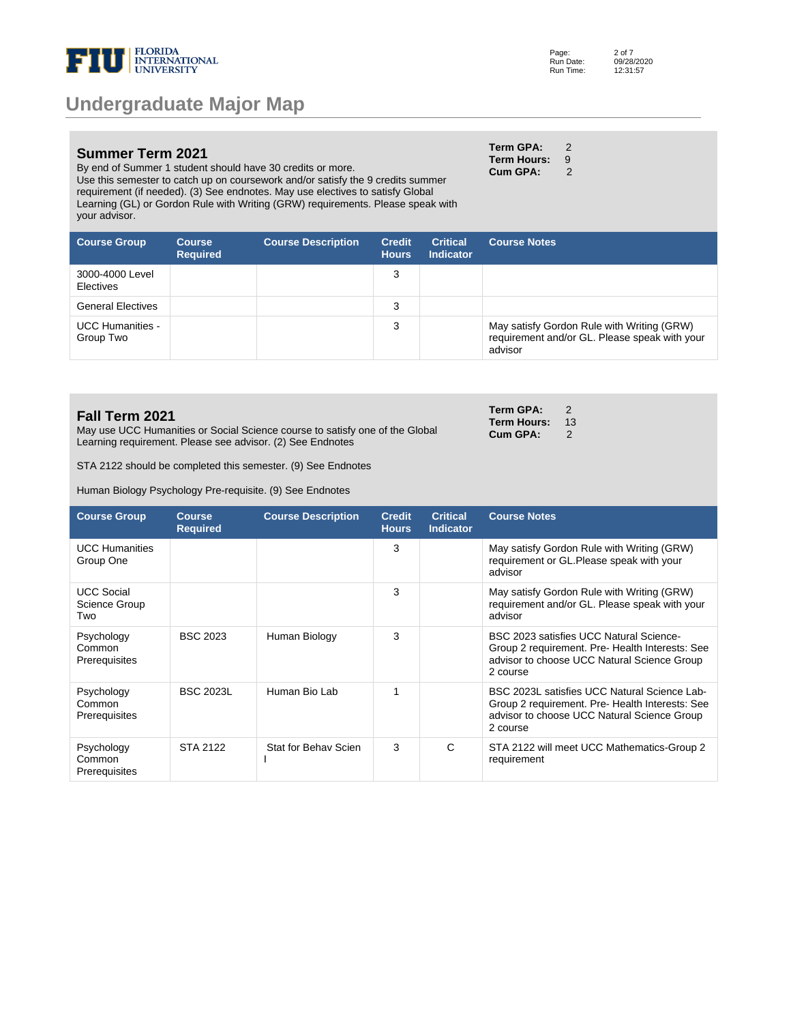

#### **Summer Term 2021**

By end of Summer 1 student should have 30 credits or more. Use this semester to catch up on coursework and/or satisfy the 9 credits summer requirement (if needed). (3) See endnotes. May use electives to satisfy Global Learning (GL) or Gordon Rule with Writing (GRW) requirements. Please speak with your advisor.

| Term GPA:   | 2 |
|-------------|---|
| Term Hours: | 9 |
| Cum GPA:    | 2 |

**Term GPA:** 2 **Term Hours: 13<br>Cum GPA: 2 Cum GPA:** 

| <b>Course Group</b>                  | <b>Course</b><br><b>Required</b> | <b>Course Description</b> | <b>Credit</b><br><b>Hours</b> | <b>Critical</b><br><b>Indicator</b> | <b>Course Notes</b>                                                                                    |
|--------------------------------------|----------------------------------|---------------------------|-------------------------------|-------------------------------------|--------------------------------------------------------------------------------------------------------|
| 3000-4000 Level<br><b>Electives</b>  |                                  |                           | 3                             |                                     |                                                                                                        |
| <b>General Electives</b>             |                                  |                           | 3                             |                                     |                                                                                                        |
| <b>UCC Humanities -</b><br>Group Two |                                  |                           | 3                             |                                     | May satisfy Gordon Rule with Writing (GRW)<br>requirement and/or GL. Please speak with your<br>advisor |

#### **Fall Term 2021**

May use UCC Humanities or Social Science course to satisfy one of the Global Learning requirement. Please see advisor. (2) See Endnotes

STA 2122 should be completed this semester. (9) See Endnotes

Human Biology Psychology Pre-requisite. (9) See Endnotes

| <b>Course Group</b>                       | <b>Course</b><br><b>Required</b> | <b>Course Description</b> | <b>Credit</b><br><b>Hours</b> | <b>Critical</b><br><b>Indicator</b> | <b>Course Notes</b>                                                                                                                                        |
|-------------------------------------------|----------------------------------|---------------------------|-------------------------------|-------------------------------------|------------------------------------------------------------------------------------------------------------------------------------------------------------|
| <b>UCC Humanities</b><br>Group One        |                                  |                           | 3                             |                                     | May satisfy Gordon Rule with Writing (GRW)<br>requirement or GL. Please speak with your<br>advisor                                                         |
| <b>UCC Social</b><br>Science Group<br>Two |                                  |                           | 3                             |                                     | May satisfy Gordon Rule with Writing (GRW)<br>requirement and/or GL. Please speak with your<br>advisor                                                     |
| Psychology<br>Common<br>Prerequisites     | <b>BSC 2023</b>                  | Human Biology             | 3                             |                                     | BSC 2023 satisfies UCC Natural Science-<br>Group 2 requirement. Pre- Health Interests: See<br>advisor to choose UCC Natural Science Group<br>2 course      |
| Psychology<br>Common<br>Prerequisites     | <b>BSC 2023L</b>                 | Human Bio Lab             | 1                             |                                     | BSC 2023L satisfies UCC Natural Science Lab-<br>Group 2 requirement. Pre- Health Interests: See<br>advisor to choose UCC Natural Science Group<br>2 course |
| Psychology<br>Common<br>Prerequisites     | <b>STA 2122</b>                  | Stat for Behav Scien      | 3                             | C                                   | STA 2122 will meet UCC Mathematics-Group 2<br>requirement                                                                                                  |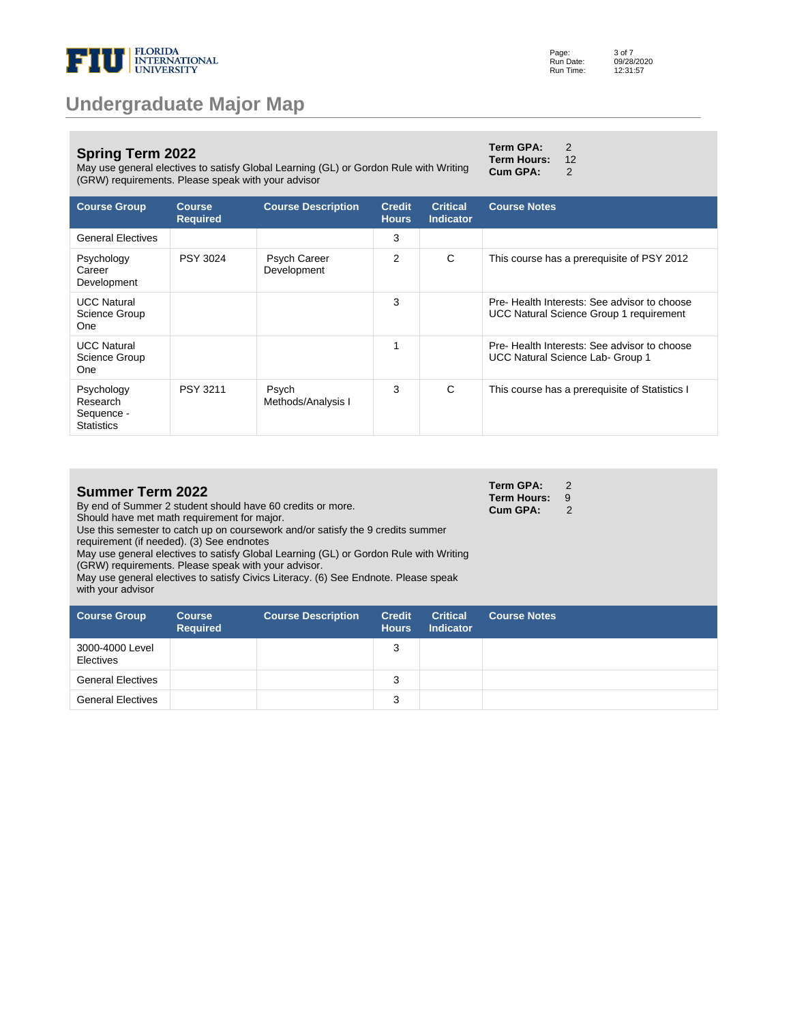

#### **Spring Term 2022**

May use general electives to satisfy Global Learning (GL) or Gordon Rule with Writing (GRW) requirements. Please speak with your advisor **Cum GPA:** 2

| Term GPA:   | 2  |
|-------------|----|
| Term Hours: | 12 |

**Term GPA:** 2 **Term Hours:** 9 **Cum GPA:** 2

**Course Group Course Required Course Description Credit Hours Critical Indicator Course Notes** General Electives 3 Psychology **Career** Development PSY 3024 Psych Career Development 2 C This course has a prerequisite of PSY 2012 UCC Natural Science Group One 3 Pre- Health Interests: See advisor to choose UCC Natural Science Group 1 requirement UCC Natural Science Group One 1 Pre- Health Interests: See advisor to choose UCC Natural Science Lab- Group 1 Psychology Research Sequence - **Statistics** PSY 3211 Psych Methods/Analysis I 3 C This course has a prerequisite of Statistics I

| <b>Summer Term 2022</b> |  |  |
|-------------------------|--|--|
|-------------------------|--|--|

By end of Summer 2 student should have 60 credits or more. Should have met math requirement for major.

Use this semester to catch up on coursework and/or satisfy the 9 credits summer requirement (if needed). (3) See endnotes

May use general electives to satisfy Global Learning (GL) or Gordon Rule with Writing (GRW) requirements. Please speak with your advisor.

May use general electives to satisfy Civics Literacy. (6) See Endnote. Please speak with your advisor

| <b>Course Group</b>          | <b>Course</b><br><b>Required</b> | <b>Course Description</b> | <b>Credit</b><br><b>Hours</b> | <b>Critical</b><br><b>Indicator</b> | <b>Course Notes</b> |
|------------------------------|----------------------------------|---------------------------|-------------------------------|-------------------------------------|---------------------|
| 3000-4000 Level<br>Electives |                                  |                           | 3                             |                                     |                     |
| <b>General Electives</b>     |                                  |                           | 3                             |                                     |                     |
| <b>General Electives</b>     |                                  |                           | 3                             |                                     |                     |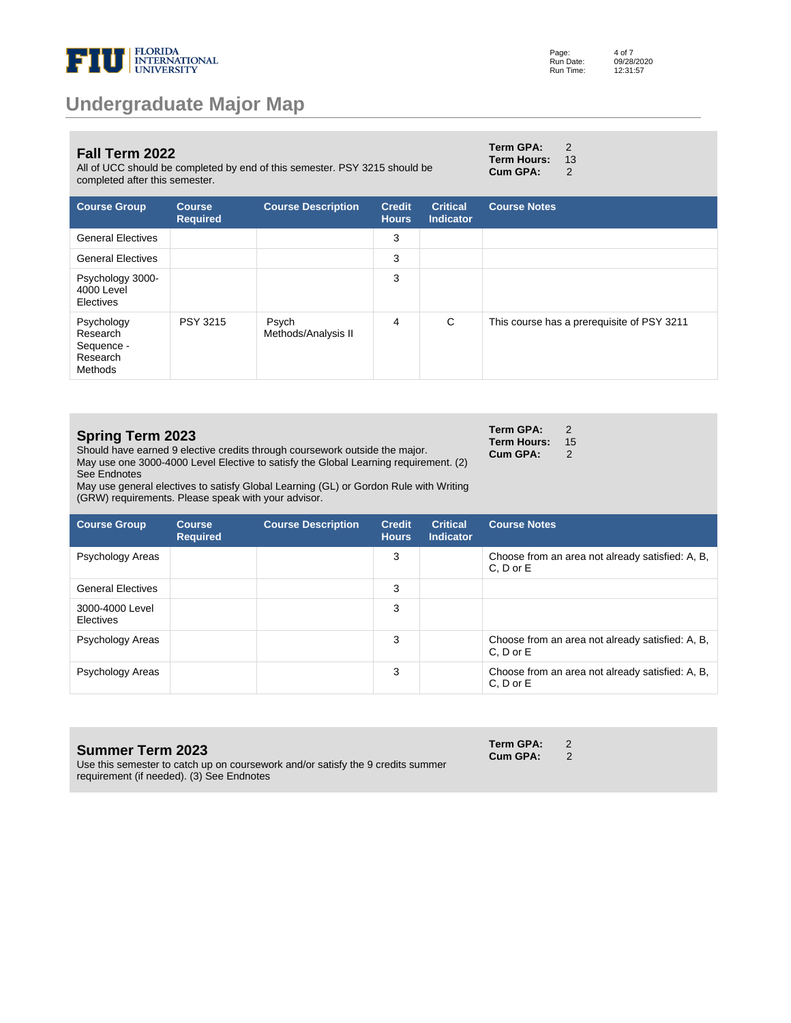

#### **Fall Term 2022**

All of UCC should be completed by end of this semester. PSY 3215 should be completed after this semester.

| Term GPA:   | $\mathfrak{p}$ |
|-------------|----------------|
| Term Hours: | 1:             |
| Cum GPA:    | 2              |

| <b>Course Group</b>                                         | <b>Course</b><br><b>Required</b> | <b>Course Description</b>    | <b>Credit</b><br><b>Hours</b> | <b>Critical</b><br><b>Indicator</b> | <b>Course Notes</b>                        |
|-------------------------------------------------------------|----------------------------------|------------------------------|-------------------------------|-------------------------------------|--------------------------------------------|
| <b>General Electives</b>                                    |                                  |                              | 3                             |                                     |                                            |
| <b>General Electives</b>                                    |                                  |                              | 3                             |                                     |                                            |
| Psychology 3000-<br>4000 Level<br>Electives                 |                                  |                              | 3                             |                                     |                                            |
| Psychology<br>Research<br>Sequence -<br>Research<br>Methods | <b>PSY 3215</b>                  | Psych<br>Methods/Analysis II | 4                             | C                                   | This course has a prerequisite of PSY 3211 |

| <b>Spring Term 2023</b><br>Should have earned 9 elective credits through coursework outside the major.<br>May use one 3000-4000 Level Elective to satisfy the Global Learning requirement. (2)<br>See Endnotes<br>May use general electives to satisfy Global Learning (GL) or Gordon Rule with Writing<br>(GRW) requirements. Please speak with your advisor. |                                  |                           |                               |                                     |                     | $\mathcal{P}$<br>15<br>2                         |
|----------------------------------------------------------------------------------------------------------------------------------------------------------------------------------------------------------------------------------------------------------------------------------------------------------------------------------------------------------------|----------------------------------|---------------------------|-------------------------------|-------------------------------------|---------------------|--------------------------------------------------|
| <b>Course Group</b>                                                                                                                                                                                                                                                                                                                                            | <b>Course</b><br><b>Required</b> | <b>Course Description</b> | <b>Credit</b><br><b>Hours</b> | <b>Critical</b><br><b>Indicator</b> | <b>Course Notes</b> |                                                  |
| Psychology Areas                                                                                                                                                                                                                                                                                                                                               |                                  |                           | 3                             |                                     | C, D or E           | Choose from an area not already satisfied: A, B, |
| <b>General Electives</b>                                                                                                                                                                                                                                                                                                                                       |                                  |                           | 3                             |                                     |                     |                                                  |
| 3000-4000 Level<br>Electives                                                                                                                                                                                                                                                                                                                                   |                                  |                           | 3                             |                                     |                     |                                                  |
| Psychology Areas                                                                                                                                                                                                                                                                                                                                               |                                  |                           | 3                             |                                     | C, D or E           | Choose from an area not already satisfied: A, B, |

Psychology Areas **3** Choose from an area not already satisfied: A, B,

#### **Summer Term 2023**

Use this semester to catch up on coursework and/or satisfy the 9 credits summer requirement (if needed). (3) See Endnotes

**Term GPA:** 2<br>**Cum GPA:** 2 **Cum GPA:** 

C, D or E

Page: Run Date: Run Time: 4 of 7 09/28/2020 12:31:57

 $\frac{13}{2}$ 

**Term GPA:** 2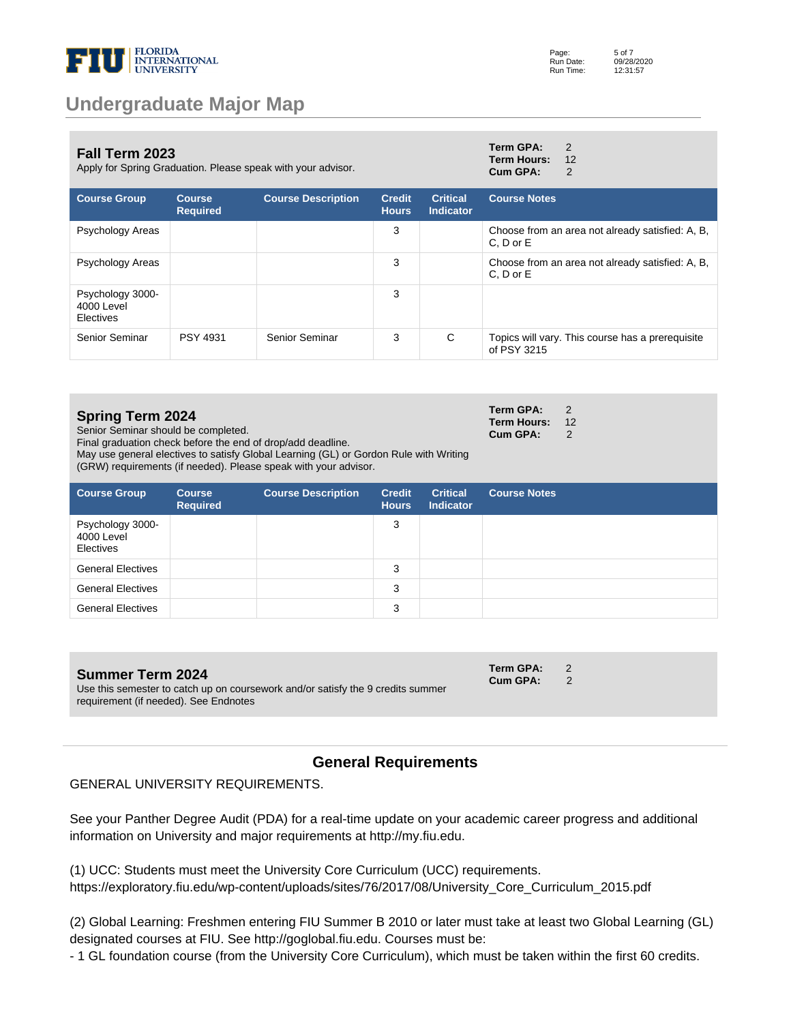

| <b>Fall Term 2023</b><br>Apply for Spring Graduation. Please speak with your advisor. |                                  | Term GPA:<br><b>Term Hours:</b><br>Cum GPA: | $\mathcal{P}$<br>12<br>2      |                                     |                     |                                                  |
|---------------------------------------------------------------------------------------|----------------------------------|---------------------------------------------|-------------------------------|-------------------------------------|---------------------|--------------------------------------------------|
| <b>Course Group</b>                                                                   | <b>Course</b><br><b>Required</b> | <b>Course Description</b>                   | <b>Credit</b><br><b>Hours</b> | <b>Critical</b><br><b>Indicator</b> | <b>Course Notes</b> |                                                  |
| Psychology Areas                                                                      |                                  |                                             | 3                             |                                     | $C. D$ or $E$       | Choose from an area not already satisfied: A, B, |
| Psychology Areas                                                                      |                                  |                                             | 3                             |                                     | C, D or E           | Choose from an area not already satisfied: A, B, |
| Psychology 3000-<br>4000 Level<br>Electives                                           |                                  |                                             | 3                             |                                     |                     |                                                  |
| Senior Seminar                                                                        | <b>PSY 4931</b>                  | Senior Seminar                              | 3                             | C                                   | of PSY 3215         | Topics will vary. This course has a prerequisite |

#### **Spring Term 2024**

Senior Seminar should be completed.

Final graduation check before the end of drop/add deadline.

May use general electives to satisfy Global Learning (GL) or Gordon Rule with Writing (GRW) requirements (if needed). Please speak with your advisor.

| <b>Course Group</b>                         | <b>Course</b><br><b>Required</b> | <b>Course Description</b> | <b>Credit</b><br><b>Hours</b> | <b>Critical</b><br><b>Indicator</b> | <b>Course Notes</b> |
|---------------------------------------------|----------------------------------|---------------------------|-------------------------------|-------------------------------------|---------------------|
| Psychology 3000-<br>4000 Level<br>Electives |                                  |                           | 3                             |                                     |                     |
| <b>General Electives</b>                    |                                  |                           | 3                             |                                     |                     |
| <b>General Electives</b>                    |                                  |                           | 3                             |                                     |                     |
| <b>General Electives</b>                    |                                  |                           | 3                             |                                     |                     |

**Summer Term 2024**

Use this semester to catch up on coursework and/or satisfy the 9 credits summer requirement (if needed). See Endnotes

### **Cum GPA:** 2

**Term GPA:** 2

**Term GPA:** 2 **Term Hours:** 12 **Cum GPA:** 2

### **General Requirements**

#### GENERAL UNIVERSITY REQUIREMENTS.

See your Panther Degree Audit (PDA) for a real-time update on your academic career progress and additional information on University and major requirements at http://my.fiu.edu.

(1) UCC: Students must meet the University Core Curriculum (UCC) requirements. https://exploratory.fiu.edu/wp-content/uploads/sites/76/2017/08/University\_Core\_Curriculum\_2015.pdf

(2) Global Learning: Freshmen entering FIU Summer B 2010 or later must take at least two Global Learning (GL) designated courses at FIU. See http://goglobal.fiu.edu. Courses must be:

- 1 GL foundation course (from the University Core Curriculum), which must be taken within the first 60 credits.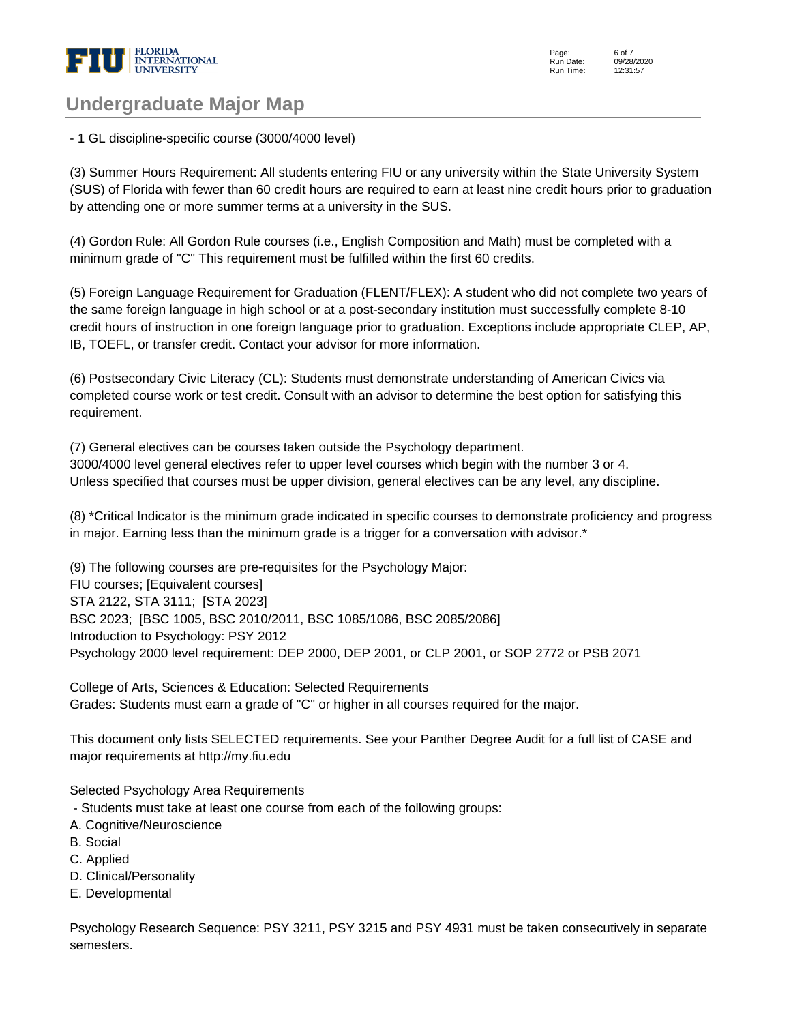

Page: Run Date: Run Time: 6 of 7 09/28/2020 12:31:57

### **Undergraduate Major Map**

- 1 GL discipline-specific course (3000/4000 level)

(3) Summer Hours Requirement: All students entering FIU or any university within the State University System (SUS) of Florida with fewer than 60 credit hours are required to earn at least nine credit hours prior to graduation by attending one or more summer terms at a university in the SUS.

(4) Gordon Rule: All Gordon Rule courses (i.e., English Composition and Math) must be completed with a minimum grade of "C" This requirement must be fulfilled within the first 60 credits.

(5) Foreign Language Requirement for Graduation (FLENT/FLEX): A student who did not complete two years of the same foreign language in high school or at a post-secondary institution must successfully complete 8-10 credit hours of instruction in one foreign language prior to graduation. Exceptions include appropriate CLEP, AP, IB, TOEFL, or transfer credit. Contact your advisor for more information.

(6) Postsecondary Civic Literacy (CL): Students must demonstrate understanding of American Civics via completed course work or test credit. Consult with an advisor to determine the best option for satisfying this requirement.

(7) General electives can be courses taken outside the Psychology department. 3000/4000 level general electives refer to upper level courses which begin with the number 3 or 4. Unless specified that courses must be upper division, general electives can be any level, any discipline.

(8) \*Critical Indicator is the minimum grade indicated in specific courses to demonstrate proficiency and progress in major. Earning less than the minimum grade is a trigger for a conversation with advisor.\*

(9) The following courses are pre-requisites for the Psychology Major: FIU courses; [Equivalent courses] STA 2122, STA 3111; [STA 2023] BSC 2023; [BSC 1005, BSC 2010/2011, BSC 1085/1086, BSC 2085/2086] Introduction to Psychology: PSY 2012 Psychology 2000 level requirement: DEP 2000, DEP 2001, or CLP 2001, or SOP 2772 or PSB 2071

College of Arts, Sciences & Education: Selected Requirements Grades: Students must earn a grade of "C" or higher in all courses required for the major.

This document only lists SELECTED requirements. See your Panther Degree Audit for a full list of CASE and major requirements at http://my.fiu.edu

Selected Psychology Area Requirements

- Students must take at least one course from each of the following groups:
- A. Cognitive/Neuroscience
- B. Social
- C. Applied
- D. Clinical/Personality
- E. Developmental

Psychology Research Sequence: PSY 3211, PSY 3215 and PSY 4931 must be taken consecutively in separate semesters.